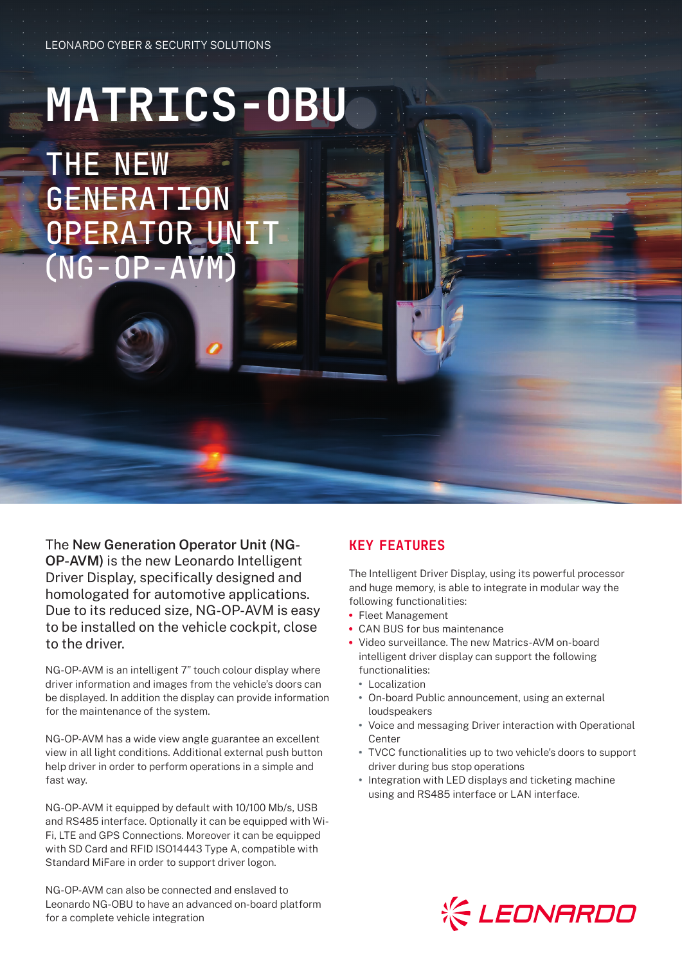# **MATRICS-OBU**

THE NEW **GENERATION** OPERATOR UNIT  $(NG-OP-A$ 

The **New Generation Operator Unit (NG-OP-AVM)** is the new Leonardo Intelligent Driver Display, specifically designed and homologated for automotive applications. Due to its reduced size, NG-OP-AVM is easy to be installed on the vehicle cockpit, close to the driver.

NG-OP-AVM is an intelligent 7" touch colour display where driver information and images from the vehicle's doors can be displayed. In addition the display can provide information for the maintenance of the system.

NG-OP-AVM has a wide view angle guarantee an excellent view in all light conditions. Additional external push button help driver in order to perform operations in a simple and fast way.

NG-OP-AVM it equipped by default with 10/100 Mb/s, USB and RS485 interface. Optionally it can be equipped with Wi-Fi, LTE and GPS Connections. Moreover it can be equipped with SD Card and RFID ISO14443 Type A, compatible with Standard MiFare in order to support driver logon.

NG-OP-AVM can also be connected and enslaved to Leonardo NG-OBU to have an advanced on-board platform for a complete vehicle integration

## KEY FEATURES

The Intelligent Driver Display, using its powerful processor and huge memory, is able to integrate in modular way the following functionalities:

- **•** Fleet Management
- **•** CAN BUS for bus maintenance
- **•** Video surveillance. The new Matrics-AVM on-board intelligent driver display can support the following functionalities:
	- **•** Localization
	- **•** On-board Public announcement, using an external loudspeakers
	- **•** Voice and messaging Driver interaction with Operational Center
	- **•** TVCC functionalities up to two vehicle's doors to support driver during bus stop operations
	- **•** Integration with LED displays and ticketing machine using and RS485 interface or LAN interface.